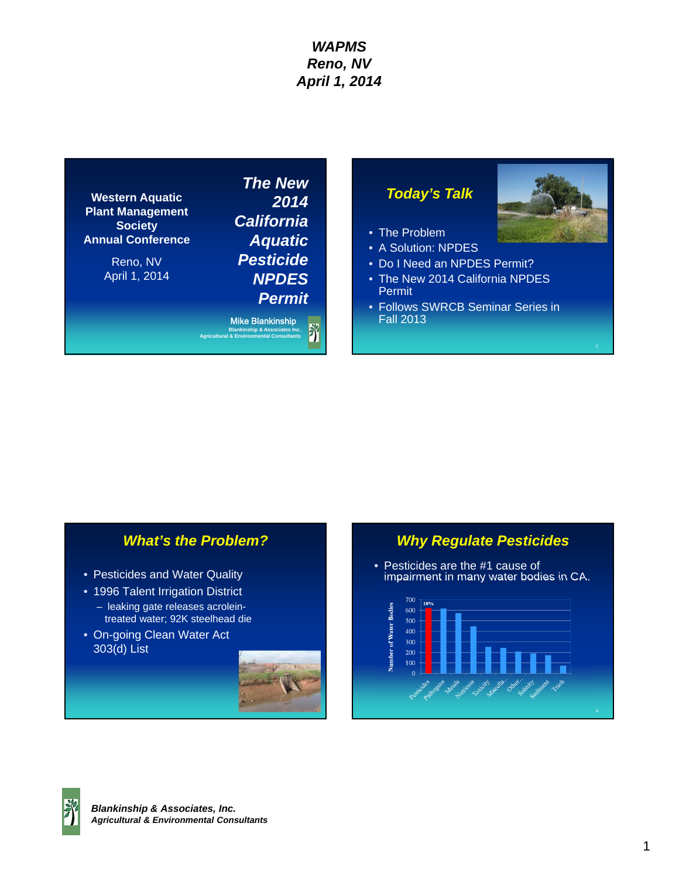**Western Aquatic Plant Management Society Annual Conference** 

> Reno, NV April 1, 2014

*The New 2014 California Aquatic Pesticide NPDES Permit*

Mike Blankinship Ï **Blankinship & Associates Inc. Agricultural & Environmental Consultants** 

## *Today's Talk*



- A Solution: NPDES
- Do I Need an NPDES Permit?
- The New 2014 California NPDES Permit
- Follows SWRCB Seminar Series in Fall 2013

## *What's the Problem?*

- Pesticides and Water Quality
- 1996 Talent Irrigation District
	- leaking gate releases acroleintreated water; 92K steelhead die
- On-going Clean Water Act 303(d) List



## *Why Regulate Pesticides*

• Pesticides are the #1 cause of impairment in many water bodies in CA.



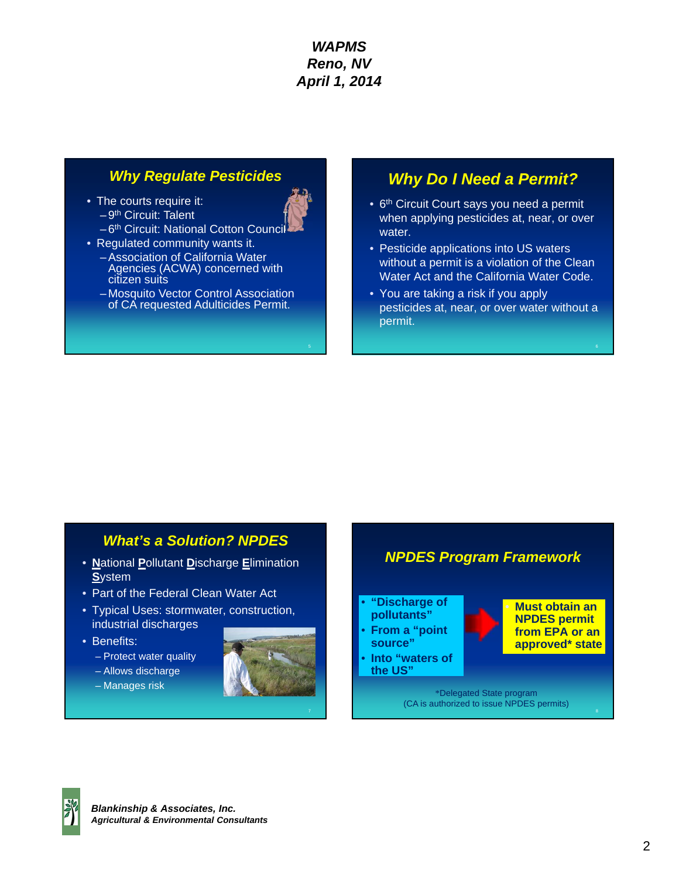- The courts require it:  $-9<sup>th</sup>$  Circuit: Talent
	- -6<sup>th</sup> Circuit: National Cotton Council
- Regulated community wants it. – Association of California Water Agencies (ACWA) concerned with citizen suits
	- Mosquito Vector Control Association of CA requested Adulticides Permit.

# *Why Regulate Pesticides Why Do I Need a Permit?*

- 6<sup>th</sup> Circuit Court says you need a permit when applying pesticides at, near, or over water.
- Pesticide applications into US waters without a permit is a violation of the Clean Water Act and the California Water Code.
- You are taking a risk if you apply pesticides at, near, or over water without a permit.

## *What's a Solution? NPDES*

- **N**ational **P**ollutant **D**ischarge **E**limination **S**ystem
- Part of the Federal Clean Water Act
- Typical Uses: stormwater, construction, industrial discharges
- Benefits:
	- Protect water quality
	- Allows discharge
	- Manages risk





*NPDES Program Framework* 

8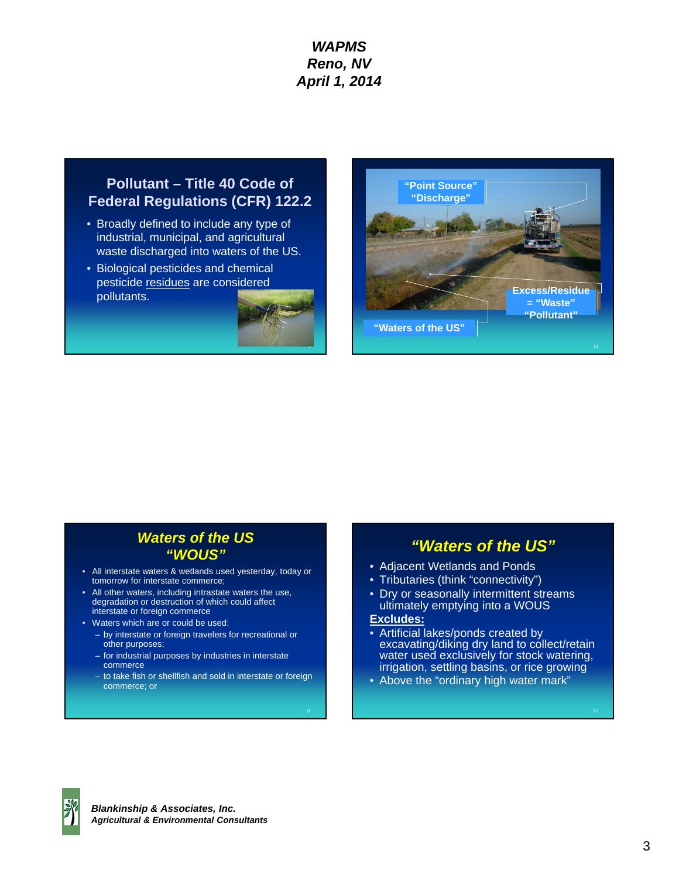## **Pollutant – Title 40 Code of Federal Regulations (CFR) 122.2**

- Broadly defined to include any type of industrial, municipal, and agricultural waste discharged into waters of the US.
- Biological pesticides and chemical pesticide residues are considered pollutants.





## *Waters of the US "WOUS"*

- All interstate waters & wetlands used yesterday, today or tomorrow for interstate commerce;
- All other waters, including intrastate waters the use, degradation or destruction of which could affect interstate or foreign commerce
- Waters which are or could be used:
	- by interstate or foreign travelers for recreational or other purposes;
	- for industrial purposes by industries in interstate commerce
	- to take fish or shellfish and sold in interstate or foreign commerce; or

## *"Waters of the US"*

- Adjacent Wetlands and Ponds
- Tributaries (think "connectivity")
- Dry or seasonally intermittent streams ultimately emptying into a WOUS

## **Excludes:**

- Artificial lakes/ponds created by excavating/diking dry land to collect/retain water used exclusively for stock watering, irrigation, settling basins, or rice growing
- Above the "ordinary high water mark"

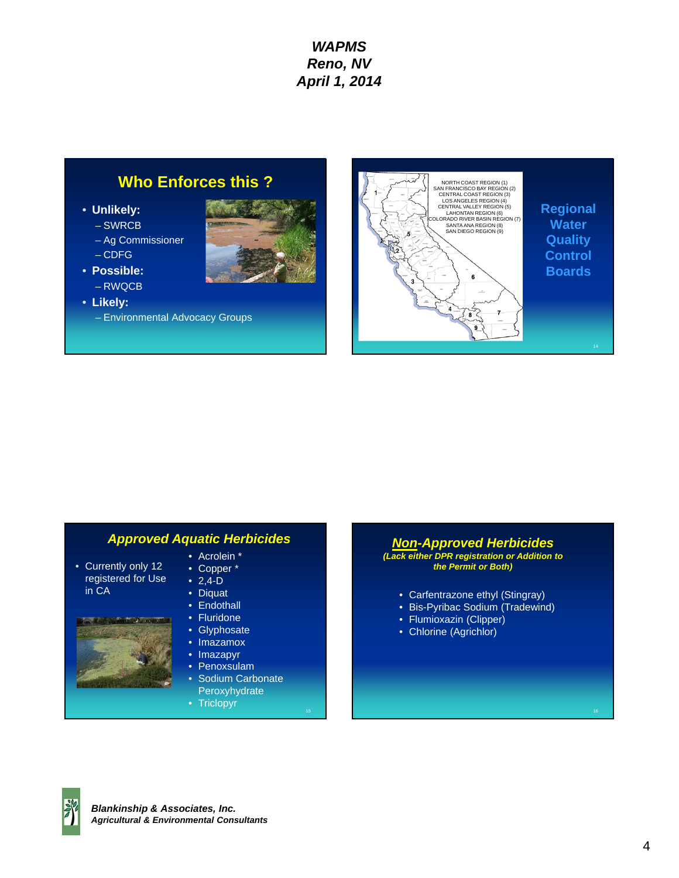## **Who Enforces this ?**

- **Unlikely:** 
	- SWRCB
	- Ag Commissioner
	- CDFG
- **Possible:**
- RWQCB
- **Likely:** 
	- Environmental Advocacy Groups





## *Approved Aquatic Herbicides*

- Currently only 12 registered for Use in CA
- Acrolein \* • Copper \*
- $2,4-D$
- Diquat
- Endothall
- Fluridone
- Glyphosate
- Imazamox
- Imazapyr
- Penoxsulam
- Sodium Carbonate Peroxyhydrate
- Triclopyr 16 and 16 and 16 and 16 and 16 and 16 and 16 and 16 and 16 and 16 and 16 and 16 and 16 and 16 and

### *Non-Approved Herbicides (Lack either DPR registration or Addition to the Permit or Both)*

- Carfentrazone ethyl (Stingray)
- Bis-Pyribac Sodium (Tradewind)
- Flumioxazin (Clipper)
- Chlorine (Agrichlor)

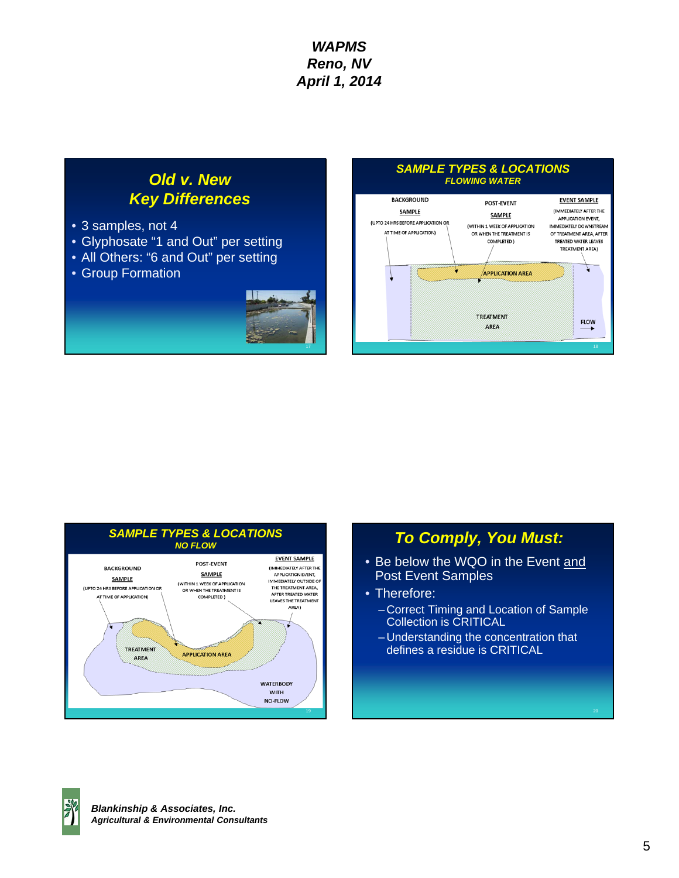# *Old v. New Key Differences*

- 3 samples, not 4
- Glyphosate "1 and Out" per setting
- All Others: "6 and Out" per setting
- Group Formation



## *SAMPLE TYPES & LOCATIONS FLOWING WATER*





## *To Comply, You Must:*

- Be below the WQO in the Event and Post Event Samples
- Therefore:
	- Correct Timing and Location of Sample Collection is CRITICAL
	- Understanding the concentration that defines a residue is CRITICAL

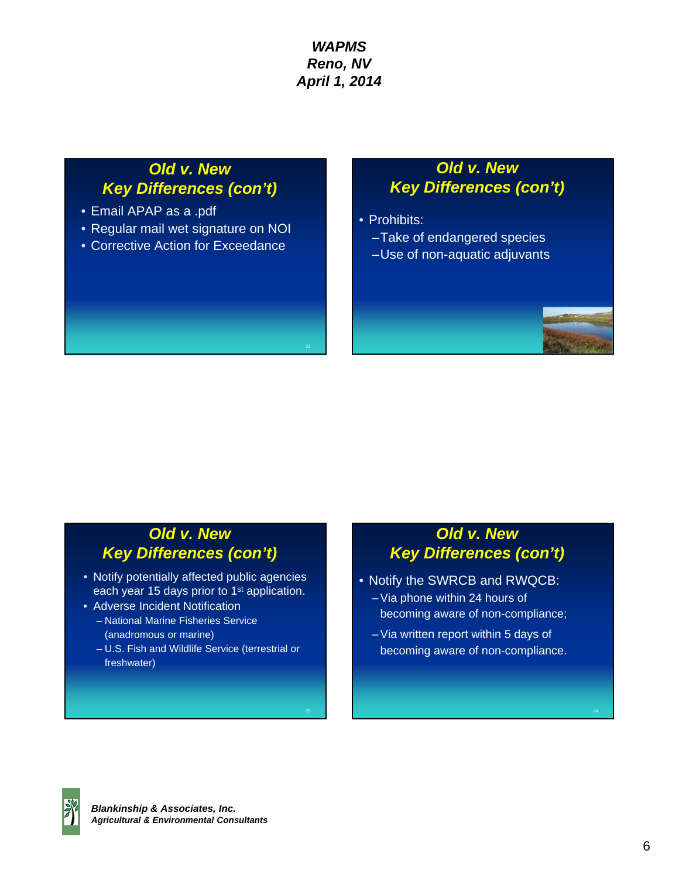## *Old v. New Key Differences (con't)*

- Email APAP as a .pdf
- Regular mail wet signature on NOI
- Corrective Action for Exceedance

## *Old v. New Key Differences (con't)*

- Prohibits:
	- –Take of endangered species
	- –Use of non-aquatic adjuvants

## *Old v. New Key Differences (con't)*

- Notify potentially affected public agencies each year 15 days prior to 1<sup>st</sup> application.
- Adverse Incident Notification – National Marine Fisheries Service (anadromous or marine)
	- U.S. Fish and Wildlife Service (terrestrial or freshwater)

# *Old v. New Key Differences (con't)*

- Notify the SWRCB and RWQCB:
	- Via phone within 24 hours of becoming aware of non-compliance;
	- Via written report within 5 days of becoming aware of non-compliance.



 $22$